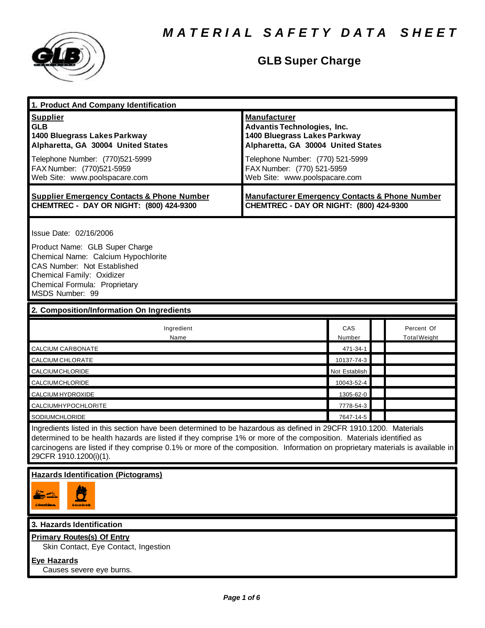

# **GLB Super Charge**

| 1. Product And Company Identification                                                                                                                                                                                                                                                                                                                                                             |                                                                                                                                                                                                                                    |                    |                     |
|---------------------------------------------------------------------------------------------------------------------------------------------------------------------------------------------------------------------------------------------------------------------------------------------------------------------------------------------------------------------------------------------------|------------------------------------------------------------------------------------------------------------------------------------------------------------------------------------------------------------------------------------|--------------------|---------------------|
| <b>Supplier</b><br><b>GLB</b><br>1400 Bluegrass Lakes Parkway<br>Alpharetta, GA 30004 United States<br>Telephone Number: (770)521-5999<br>FAX Number: (770)521-5959<br>Web Site: www.poolspacare.com                                                                                                                                                                                              | <b>Manufacturer</b><br><b>Advantis Technologies, Inc.</b><br>1400 Bluegrass Lakes Parkway<br>Alpharetta, GA 30004 United States<br>Telephone Number: (770) 521-5999<br>FAX Number: (770) 521-5959<br>Web Site: www.poolspacare.com |                    |                     |
| <b>Supplier Emergency Contacts &amp; Phone Number</b><br>CHEMTREC - DAY OR NIGHT: (800) 424-9300                                                                                                                                                                                                                                                                                                  | <b>Manufacturer Emergency Contacts &amp; Phone Number</b><br>CHEMTREC - DAY OR NIGHT: (800) 424-9300                                                                                                                               |                    |                     |
| Issue Date: 02/16/2006<br>Product Name: GLB Super Charge<br>Chemical Name: Calcium Hypochlorite<br>CAS Number: Not Established<br>Chemical Family: Oxidizer<br>Chemical Formula: Proprietary<br>MSDS Number: 99                                                                                                                                                                                   |                                                                                                                                                                                                                                    |                    |                     |
| 2. Composition/Information On Ingredients                                                                                                                                                                                                                                                                                                                                                         |                                                                                                                                                                                                                                    |                    |                     |
| Ingredient                                                                                                                                                                                                                                                                                                                                                                                        |                                                                                                                                                                                                                                    | CAS                | Percent Of          |
| Name<br>CALCIUM CARBONATE                                                                                                                                                                                                                                                                                                                                                                         |                                                                                                                                                                                                                                    | Number<br>471-34-1 | <b>Total Weight</b> |
| CALCIUM CHLORATE                                                                                                                                                                                                                                                                                                                                                                                  |                                                                                                                                                                                                                                    | 10137-74-3         |                     |
| CALCIUMCHLORIDE                                                                                                                                                                                                                                                                                                                                                                                   |                                                                                                                                                                                                                                    | Not Establish      |                     |
| CALCIUMCHLORIDE                                                                                                                                                                                                                                                                                                                                                                                   |                                                                                                                                                                                                                                    | 10043-52-4         |                     |
| CALCIUM HYDROXIDE                                                                                                                                                                                                                                                                                                                                                                                 |                                                                                                                                                                                                                                    | 1305-62-0          |                     |
| CALCIUMHYPOCHLORITE                                                                                                                                                                                                                                                                                                                                                                               |                                                                                                                                                                                                                                    | 7778-54-3          |                     |
| SODIUMCHLORIDE                                                                                                                                                                                                                                                                                                                                                                                    |                                                                                                                                                                                                                                    | 7647-14-5          |                     |
| Ingredients listed in this section have been determined to be hazardous as defined in 29CFR 1910.1200. Materials<br>determined to be health hazards are listed if they comprise 1% or more of the composition. Materials identified as<br>carcinogens are listed if they comprise 0.1% or more of the composition. Information on proprietary materials is available in<br>29CFR 1910.1200(i)(1). |                                                                                                                                                                                                                                    |                    |                     |
| <b>Hazards Identification (Pictograms)</b>                                                                                                                                                                                                                                                                                                                                                        |                                                                                                                                                                                                                                    |                    |                     |
| Ŋ<br>CONNOUNCE.                                                                                                                                                                                                                                                                                                                                                                                   |                                                                                                                                                                                                                                    |                    |                     |
| 3. Hazards Identification                                                                                                                                                                                                                                                                                                                                                                         |                                                                                                                                                                                                                                    |                    |                     |
| <b>Primary Routes(s) Of Entry</b><br>Skin Contact, Eye Contact, Ingestion<br><b>Eye Hazards</b><br>Causes severe eye burns.                                                                                                                                                                                                                                                                       |                                                                                                                                                                                                                                    |                    |                     |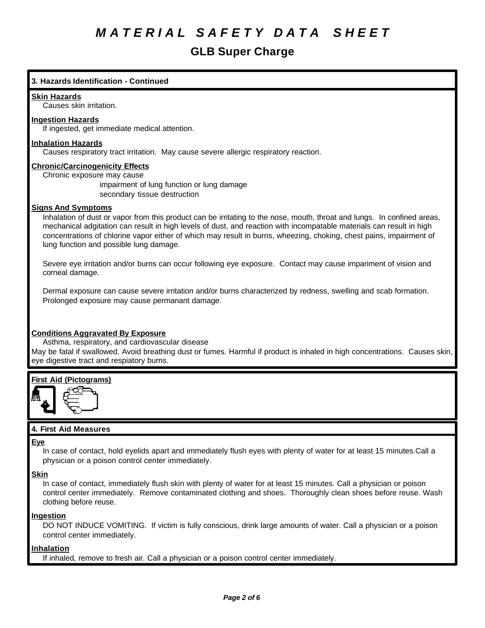### **GLB Super Charge**

### **3. Hazards Identification - Continued**

#### **Skin Hazards**

Causes skin irritation.

#### **Ingestion Hazards**

If ingested, get immediate medical attention.

#### **Inhalation Hazards**

Causes respiratory tract irritation. May cause severe allergic respiratory reaction.

#### **Chronic/Carcinogenicity Effects**

Chronic exposure may cause

impairment of lung function or lung damage secondary tissue destruction

#### **Signs And Symptoms**

Inhalation of dust or vapor from this product can be irritating to the nose, mouth, throat and lungs. In confined areas, mechanical adgitation can result in high levels of dust, and reaction with incompatable materials can result in high concentrations of chlorine vapor either of which may result in burns, wheezing, choking, chest pains, impairment of lung function and possible lung damage.

Severe eye irritation and/or burns can occur following eye exposure. Contact may cause impariment of vision and corneal damage.

Dermal exposure can cause severe irritation and/or burns characterized by redness, swelling and scab formation. Prolonged exposure may cause permanant damage.

#### **Conditions Aggravated By Exposure**

Asthma, respiratory, and cardiovascular disease May be fatal if swallowed. Avoid breathing dust or fumes. Harmful if product is inhaled in high concentrations. Causes skin, eye digestive tract and respiatory burns.

### **First Aid (Pictograms)**



#### **4. First Aid Measures**

#### **Eye**

In case of contact, hold eyelids apart and immediately flush eyes with plenty of water for at least 15 minutes.Call a physician or a poison control center immediately.

#### **Skin**

In case of contact, immediately flush skin with plenty of water for at least 15 minutes. Call a physician or poison control center immediately. Remove contaminated clothing and shoes. Thoroughly clean shoes before reuse. Wash clothing before reuse.

#### **Ingestion**

DO NOT INDUCE VOMITING. If victim is fully conscious, drink large amounts of water. Call a physician or a poison control center immediately.

#### **Inhalation**

If inhaled, remove to fresh air. Call a physician or a poison control center immediately.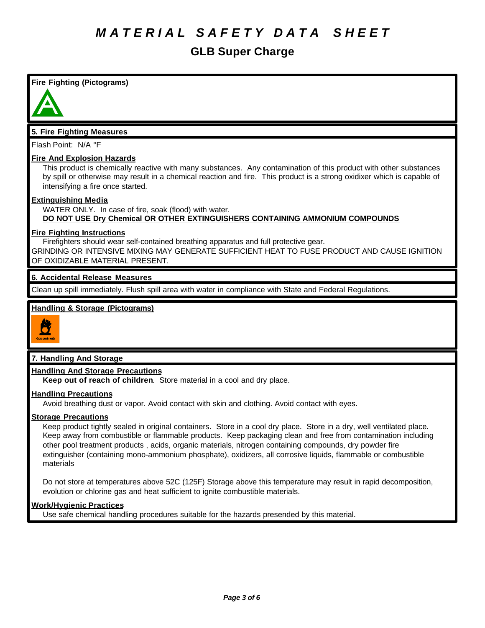### **GLB Super Charge**

**Fire Fighting (Pictograms)**



#### **5. Fire Fighting Measures**

Flash Point: N/A °F

#### **Fire And Explosion Hazards**

This product is chemically reactive with many substances. Any contamination of this product with other substances by spill or otherwise may result in a chemical reaction and fire. This product is a strong oxidixer which is capable of intensifying a fire once started.

#### **Extinguishing Media**

WATER ONLY. In case of fire, soak (flood) with water. **DO NOT USE Dry Chemical OR OTHER EXTINGUISHERS CONTAINING AMMONIUM COMPOUNDS**

#### **Fire Fighting Instructions**

Firefighters should wear self-contained breathing apparatus and full protective gear. GRINDING OR INTENSIVE MIXING MAY GENERATE SUFFICIENT HEAT TO FUSE PRODUCT AND CAUSE IGNITION OF OXIDIZABLE MATERIAL PRESENT.

#### **6. Accidental Release Measures**

Clean up spill immediately. Flush spill area with water in compliance with State and Federal Regulations.

#### **Handling & Storage (Pictograms)**



### **7. Handling And Storage**

#### **Handling And Storage Precautions**

**Keep out of reach of children**. Store material in a cool and dry place.

#### **Handling Precautions**

Avoid breathing dust or vapor. Avoid contact with skin and clothing. Avoid contact with eyes.

#### **Storage Precautions**

Keep product tightly sealed in original containers. Store in a cool dry place. Store in a dry, well ventilated place. Keep away from combustible or flammable products. Keep packaging clean and free from contamination including other pool treatment products , acids, organic materials, nitrogen containing compounds, dry powder fire extinguisher (containing mono-ammonium phosphate), oxidizers, all corrosive liquids, flammable or combustible materials

Do not store at temperatures above 52C (125F) Storage above this temperature may result in rapid decomposition, evolution or chlorine gas and heat sufficient to ignite combustible materials.

#### **Work/Hygienic Practices**

Use safe chemical handling procedures suitable for the hazards presended by this material.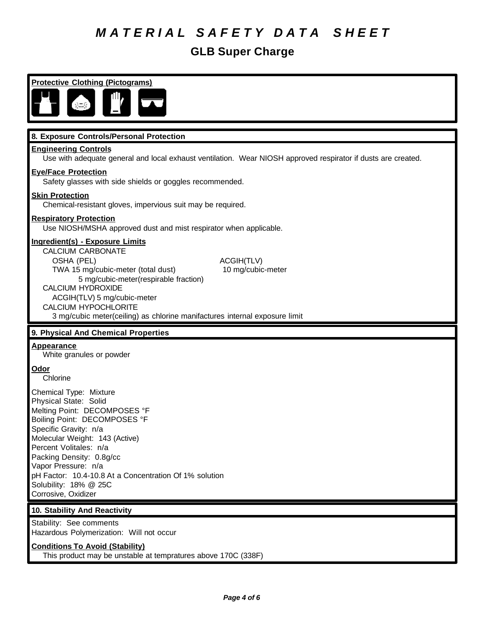### **GLB Super Charge**

**Protective Clothing (Pictograms)**

#### **8. Exposure Controls/Personal Protection**

#### **Engineering Controls**

Use with adequate general and local exhaust ventilation. Wear NIOSH approved respirator if dusts are created.

#### **Eye/Face Protection**

Safety glasses with side shields or goggles recommended.

#### **Skin Protection**

Chemical-resistant gloves, impervious suit may be required.

#### **Respiratory Protection**

Use NIOSH/MSHA approved dust and mist respirator when applicable.

### **Ingredient(s) - Exposure Limits**

CALCIUM CARBONATE OSHA (PEL) ACGIH(TLV) TWA 15 mg/cubic-meter (total dust) 10 mg/cubic-meter 5 mg/cubic-meter(respirable fraction) CALCIUM HYDROXIDE ACGIH(TLV) 5 mg/cubic-meter CALCIUM HYPOCHLORITE

3 mg/cubic meter(ceiling) as chlorine manifactures internal exposure limit

#### **9. Physical And Chemical Properties**

#### **Appearance**

White granules or powder

#### **Odor**

Chlorine

Chemical Type: Mixture Physical State: Solid Melting Point: DECOMPOSES °F Boiling Point: DECOMPOSES °F Specific Gravity: n/a Molecular Weight: 143 (Active) Percent Volitales: n/a Packing Density: 0.8g/cc Vapor Pressure: n/a pH Factor: 10.4-10.8 At a Concentration Of 1% solution Solubility: 18% @ 25C Corrosive, Oxidizer

#### **10. Stability And Reactivity**

Stability: See comments Hazardous Polymerization: Will not occur

#### **Conditions To Avoid (Stability)**

This product may be unstable at tempratures above 170C (338F)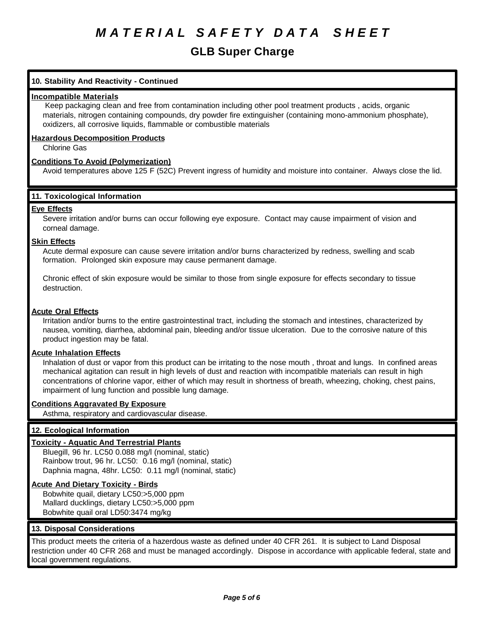### **GLB Super Charge**

#### **10. Stability And Reactivity - Continued**

#### **Incompatible Materials**

 Keep packaging clean and free from contamination including other pool treatment products , acids, organic materials, nitrogen containing compounds, dry powder fire extinguisher (containing mono-ammonium phosphate), oxidizers, all corrosive liquids, flammable or combustible materials

#### **Hazardous Decomposition Products**

Chlorine Gas

#### **Conditions To Avoid (Polymerization)**

Avoid temperatures above 125 F (52C) Prevent ingress of humidity and moisture into container. Always close the lid.

#### **11. Toxicological Information**

#### **Eye Effects**

Severe irritation and/or burns can occur following eye exposure. Contact may cause impairment of vision and corneal damage.

#### **Skin Effects**

Acute dermal exposure can cause severe irritation and/or burns characterized by redness, swelling and scab formation. Prolonged skin exposure may cause permanent damage.

Chronic effect of skin exposure would be similar to those from single exposure for effects secondary to tissue destruction.

#### **Acute Oral Effects**

Irritation and/or burns to the entire gastrointestinal tract, including the stomach and intestines, characterized by nausea, vomiting, diarrhea, abdominal pain, bleeding and/or tissue ulceration. Due to the corrosive nature of this product ingestion may be fatal.

#### **Acute Inhalation Effects**

Inhalation of dust or vapor from this product can be irritating to the nose mouth , throat and lungs. In confined areas mechanical agitation can result in high levels of dust and reaction with incompatible materials can result in high concentrations of chlorine vapor, either of which may result in shortness of breath, wheezing, choking, chest pains, impairment of lung function and possible lung damage.

#### **Conditions Aggravated By Exposure**

Asthma, respiratory and cardiovascular disease.

#### **12. Ecological Information**

#### **Toxicity - Aquatic And Terrestrial Plants**

Bluegill, 96 hr. LC50 0.088 mg/l (nominal, static) Rainbow trout, 96 hr. LC50: 0.16 mg/l (nominal, static) Daphnia magna, 48hr. LC50: 0.11 mg/l (nominal, static)

#### **Acute And Dietary Toxicity - Birds**

Bobwhite quail, dietary LC50:>5,000 ppm Mallard ducklings, dietary LC50:>5,000 ppm Bobwhite quail oral LD50:3474 mg/kg

#### **13. Disposal Considerations**

This product meets the criteria of a hazerdous waste as defined under 40 CFR 261. It is subject to Land Disposal restriction under 40 CFR 268 and must be managed accordingly. Dispose in accordance with applicable federal, state and local government regulations.